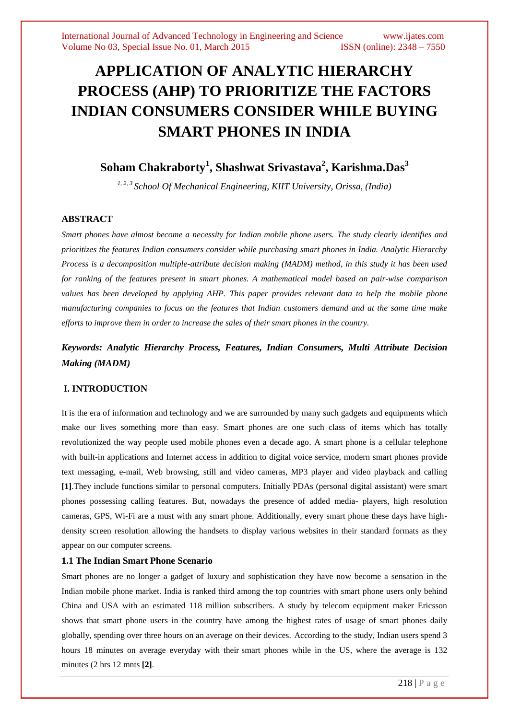# **APPLICATION OF ANALYTIC HIERARCHY PROCESS (AHP) TO PRIORITIZE THE FACTORS INDIAN CONSUMERS CONSIDER WHILE BUYING SMART PHONES IN INDIA**

# **Soham Chakraborty<sup>1</sup> , Shashwat Srivastava<sup>2</sup> , Karishma.Das<sup>3</sup>**

*1, 2, 3 School Of Mechanical Engineering, KIIT University, Orissa, (India)*

## **ABSTRACT**

*Smart phones have almost become a necessity for Indian mobile phone users. The study clearly identifies and prioritizes the features Indian consumers consider while purchasing smart phones in India. Analytic Hierarchy Process is a decomposition multiple-attribute decision making (MADM) method, in this study it has been used for ranking of the features present in smart phones. A mathematical model based on pair-wise comparison values has been developed by applying AHP. This paper provides relevant data to help the mobile phone manufacturing companies to focus on the features that Indian customers demand and at the same time make efforts to improve them in order to increase the sales of their smart phones in the country.*

# *Keywords: Analytic Hierarchy Process, Features, Indian Consumers, Multi Attribute Decision Making (MADM)*

## **I. INTRODUCTION**

It is the era of information and technology and we are surrounded by many such gadgets and equipments which make our lives something more than easy. Smart phones are one such class of items which has totally revolutionized the way people used mobile phones even a decade ago. A smart phone is a cellular telephone with built-in applications and Internet access in addition to digital voice service, modern smart phones provide text messaging, e-mail, Web browsing, still and video cameras, MP3 player and video playback and calling **[1]**.They include functions similar to personal computers. Initially PDAs (personal digital assistant) were smart phones possessing calling features. But, nowadays the presence of added media- players, high resolution cameras, GPS, Wi-Fi are a must with any smart phone. Additionally, every smart phone these days have highdensity screen resolution allowing the handsets to display various websites in their standard formats as they appear on our computer screens.

#### **1.1 The Indian Smart Phone Scenario**

Smart phones are no longer a gadget of luxury and sophistication they have now become a sensation in the Indian mobile phone market. India is ranked third among the top countries with smart phone users only behind China and USA with an estimated 118 million subscribers. A study by telecom equipment maker Ericsson shows that smart phone users in the country have among the highest rates of usage of smart phones daily globally, spending over three hours on an average on their devices. According to the study, Indian users spend 3 hours 18 minutes on average everyday with their smart [phones](http://gadgets.ndtv.com/tags/smartphones) while in the US, where the average is 132 minutes (2 hrs 12 mnts **[2]**.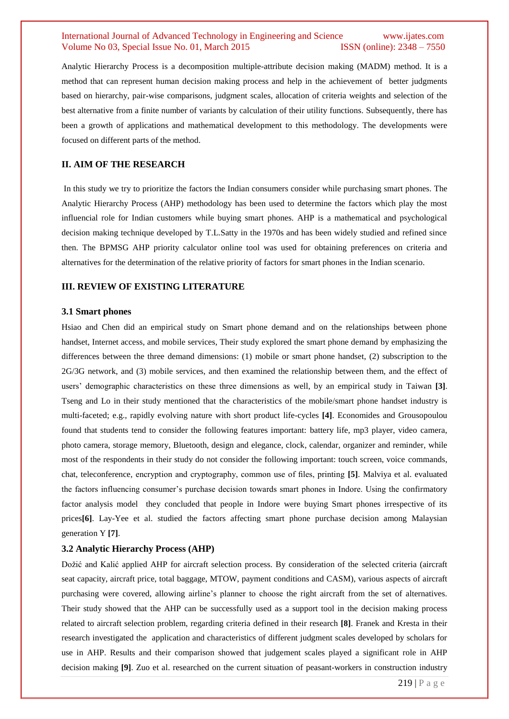Analytic Hierarchy Process is a decomposition multiple-attribute decision making (MADM) method. It is a method that can represent human decision making process and help in the achievement of better judgments based on hierarchy, pair-wise comparisons, judgment scales, allocation of criteria weights and selection of the best alternative from a finite number of variants by calculation of their utility functions. Subsequently, there has been a growth of applications and mathematical development to this methodology. The developments were focused on different parts of the method.

#### **II. AIM OF THE RESEARCH**

In this study we try to prioritize the factors the Indian consumers consider while purchasing smart phones. The Analytic Hierarchy Process (AHP) methodology has been used to determine the factors which play the most influencial role for Indian customers while buying smart phones. AHP is a mathematical and psychological decision making technique developed by T.L.Satty in the 1970s and has been widely studied and refined since then. The BPMSG AHP priority calculator online tool was used for obtaining preferences on criteria and alternatives for the determination of the relative priority of factors for smart phones in the Indian scenario.

#### **III. REVIEW OF EXISTING LITERATURE**

#### **3.1 Smart phones**

Hsiao and Chen did an empirical study on Smart phone demand and on the relationships between phone handset, Internet access, and mobile services, Their study explored the smart phone demand by emphasizing the differences between the three demand dimensions: (1) mobile or smart phone handset, (2) subscription to the 2G/3G network, and (3) mobile services, and then examined the relationship between them, and the effect of users' demographic characteristics on these three dimensions as well, by an empirical study in Taiwan **[3]**. Tseng and Lo in their study mentioned that the characteristics of the mobile/smart phone handset industry is multi-faceted; e.g., rapidly evolving nature with short product life-cycles **[4]**. Economides and Grousopoulou found that students tend to consider the following features important: battery life, mp3 player, video camera, photo camera, storage memory, Bluetooth, design and elegance, clock, calendar, organizer and reminder, while most of the respondents in their study do not consider the following important: touch screen, voice commands, chat, teleconference, encryption and cryptography, common use of files, printing **[5]**. Malviya et al. evaluated the factors influencing consumer's purchase decision towards smart phones in Indore. Using the confirmatory factor analysis model they concluded that people in Indore were buying Smart phones irrespective of its prices**[6]**. Lay-Yee et al. studied the factors affecting smart phone purchase decision among Malaysian generation Y **[7]**.

#### **3.2 Analytic Hierarchy Process (AHP)**

Dožić and Kalić applied AHP for aircraft selection process. By consideration of the selected criteria (aircraft seat capacity, aircraft price, total baggage, MTOW, payment conditions and CASM), various aspects of aircraft purchasing were covered, allowing airline's planner to choose the right aircraft from the set of alternatives. Their study showed that the AHP can be successfully used as a support tool in the decision making process related to aircraft selection problem, regarding criteria defined in their research **[8]**. Franek and Kresta in their research investigated the application and characteristics of different judgment scales developed by scholars for use in AHP. Results and their comparison showed that judgement scales played a significant role in AHP decision making **[9]**. Zuo et al. researched on the current situation of peasant-workers in construction industry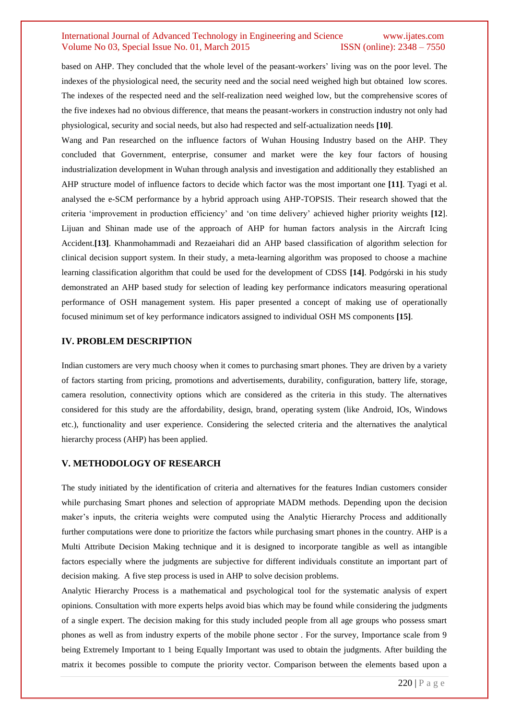based on AHP. They concluded that the whole level of the peasant-workers' living was on the poor level. The indexes of the physiological need, the security need and the social need weighed high but obtained low scores. The indexes of the respected need and the self-realization need weighed low, but the comprehensive scores of the five indexes had no obvious difference, that means the peasant-workers in construction industry not only had physiological, security and social needs, but also had respected and self-actualization needs **[10]**.

Wang and Pan researched on the influence factors of Wuhan Housing Industry based on the AHP. They concluded that Government, enterprise, consumer and market were the key four factors of housing industrialization development in Wuhan through analysis and investigation and additionally they established an AHP structure model of influence factors to decide which factor was the most important one **[11]**. Tyagi et al. analysed the e-SCM performance by a hybrid approach using AHP-TOPSIS. Their research showed that the criteria 'improvement in production efficiency' and 'on time delivery' achieved higher priority weights **[12**]. Lijuan and Shinan made use of the approach of AHP for human factors analysis in the Aircraft Icing Accident.**[13]**. Khanmohammadi and Rezaeiahari did an AHP based classification of algorithm selection for clinical decision support system. In their study, a meta-learning algorithm was proposed to choose a machine learning classification algorithm that could be used for the development of CDSS **[14]**. Podgórski in his study demonstrated an AHP based study for selection of leading key performance indicators measuring operational performance of OSH management system. His paper presented a concept of making use of operationally focused minimum set of key performance indicators assigned to individual OSH MS components **[15]**.

#### **IV. PROBLEM DESCRIPTION**

Indian customers are very much choosy when it comes to purchasing smart phones. They are driven by a variety of factors starting from pricing, promotions and advertisements, durability, configuration, battery life, storage, camera resolution, connectivity options which are considered as the criteria in this study. The alternatives considered for this study are the affordability, design, brand, operating system (like Android, IOs, Windows etc.), functionality and user experience. Considering the selected criteria and the alternatives the analytical hierarchy process (AHP) has been applied.

#### **V. METHODOLOGY OF RESEARCH**

The study initiated by the identification of criteria and alternatives for the features Indian customers consider while purchasing Smart phones and selection of appropriate MADM methods. Depending upon the decision maker's inputs, the criteria weights were computed using the Analytic Hierarchy Process and additionally further computations were done to prioritize the factors while purchasing smart phones in the country. AHP is a Multi Attribute Decision Making technique and it is designed to incorporate tangible as well as intangible factors especially where the judgments are subjective for different individuals constitute an important part of decision making. A five step process is used in AHP to solve decision problems.

Analytic Hierarchy Process is a mathematical and psychological tool for the systematic analysis of expert opinions. Consultation with more experts helps avoid bias which may be found while considering the judgments of a single expert. The decision making for this study included people from all age groups who possess smart phones as well as from industry experts of the mobile phone sector . For the survey, Importance scale from 9 being Extremely Important to 1 being Equally Important was used to obtain the judgments. After building the matrix it becomes possible to compute the priority vector. Comparison between the elements based upon a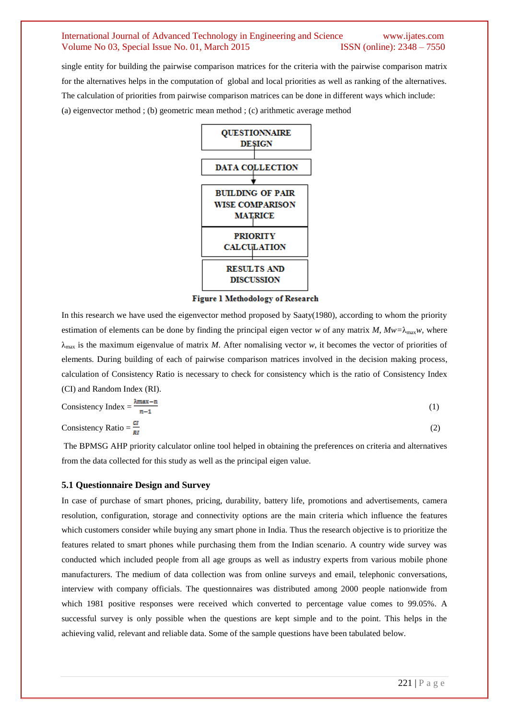single entity for building the pairwise comparison matrices for the criteria with the pairwise comparison matrix for the alternatives helps in the computation of global and local priorities as well as ranking of the alternatives. The calculation of priorities from pairwise comparison matrices can be done in different ways which include: (a) eigenvector method ; (b) geometric mean method ; (c) arithmetic average method



**Figure 1 Methodology of Research** 

In this research we have used the eigenvector method proposed by Saaty(1980), according to whom the priority estimation of elements can be done by finding the principal eigen vector *w* of any matrix *M*,  $Mw = \lambda_{\text{max}}w$ , where  $\lambda_{\text{max}}$  is the maximum eigenvalue of matrix *M*. After nomalising vector *w*, it becomes the vector of priorities of elements. During building of each of pairwise comparison matrices involved in the decision making process, calculation of Consistency Ratio is necessary to check for consistency which is the ratio of Consistency Index (CI) and Random Index (RI).

Consistency Index = 
$$
\frac{\lambda_{\text{max}} - n}{n-1}
$$
 (1)  
Consistency Ratio =  $\frac{ct}{n!}$  (2)

The BPMSG AHP priority calculator online tool helped in obtaining the preferences on criteria and alternatives from the data collected for this study as well as the principal eigen value.

#### **5.1 Questionnaire Design and Survey**

In case of purchase of smart phones, pricing, durability, battery life, promotions and advertisements, camera resolution, configuration, storage and connectivity options are the main criteria which influence the features which customers consider while buying any smart phone in India. Thus the research objective is to prioritize the features related to smart phones while purchasing them from the Indian scenario. A country wide survey was conducted which included people from all age groups as well as industry experts from various mobile phone manufacturers. The medium of data collection was from online surveys and email, telephonic conversations, interview with company officials. The questionnaires was distributed among 2000 people nationwide from which 1981 positive responses were received which converted to percentage value comes to 99.05%. A successful survey is only possible when the questions are kept simple and to the point. This helps in the achieving valid, relevant and reliable data. Some of the sample questions have been tabulated below.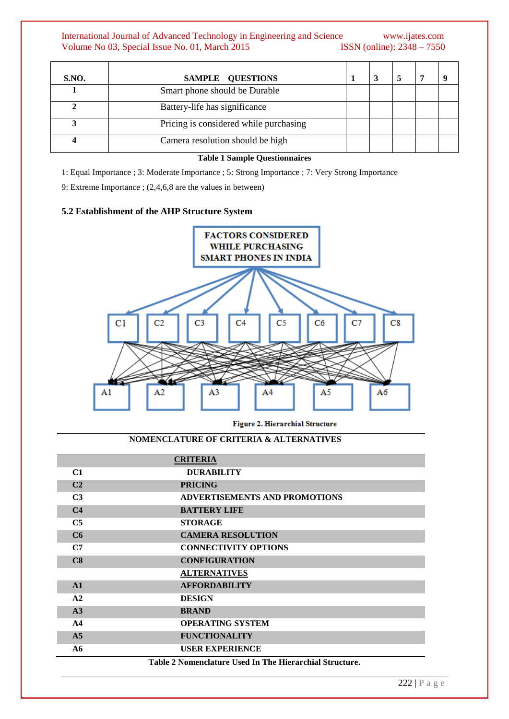# International Journal of Advanced Technology in Engineering and Science www.ijates.com Volume No 03, Special Issue No. 01, March 2015 **ISSN** (online): 2348 – 7550 Volume No 03, Special Issue No. 01, March 2015

| <b>S.NO.</b> | SAMPLE QUESTIONS                       |  |  |  |
|--------------|----------------------------------------|--|--|--|
|              | Smart phone should be Durable          |  |  |  |
|              | Battery-life has significance          |  |  |  |
|              | Pricing is considered while purchasing |  |  |  |
|              | Camera resolution should be high       |  |  |  |

#### **Table 1 Sample Questionnaires**

1: Equal Importance ; 3: Moderate Importance ; 5: Strong Importance ; 7: Very Strong Importance

9: Extreme Importance ; (2,4,6,8 are the values in between)

#### **5.2 Establishment of the AHP Structure System**



Figure 2. Hierarchial Structure

# **NOMENCLATURE OF CRITERIA & ALTERNATIVES**

|                | <b>CRITERIA</b>                      |
|----------------|--------------------------------------|
| C1             | <b>DURABILITY</b>                    |
| C <sub>2</sub> | <b>PRICING</b>                       |
| C <sub>3</sub> | <b>ADVERTISEMENTS AND PROMOTIONS</b> |
| C <sub>4</sub> | <b>BATTERY LIFE</b>                  |
| C <sub>5</sub> | <b>STORAGE</b>                       |
| C6             | <b>CAMERA RESOLUTION</b>             |
| C7             | <b>CONNECTIVITY OPTIONS</b>          |
| C8             | <b>CONFIGURATION</b>                 |
|                | <b>ALTERNATIVES</b>                  |
| A1             | <b>AFFORDABILITY</b>                 |
| A2             | <b>DESIGN</b>                        |
| A3             | <b>BRAND</b>                         |
| AA             | <b>OPERATING SYSTEM</b>              |
| A <sub>5</sub> | <b>FUNCTIONALITY</b>                 |
| A6             | <b>USER EXPERIENCE</b>               |

**Table 2 Nomenclature Used In The Hierarchial Structure.**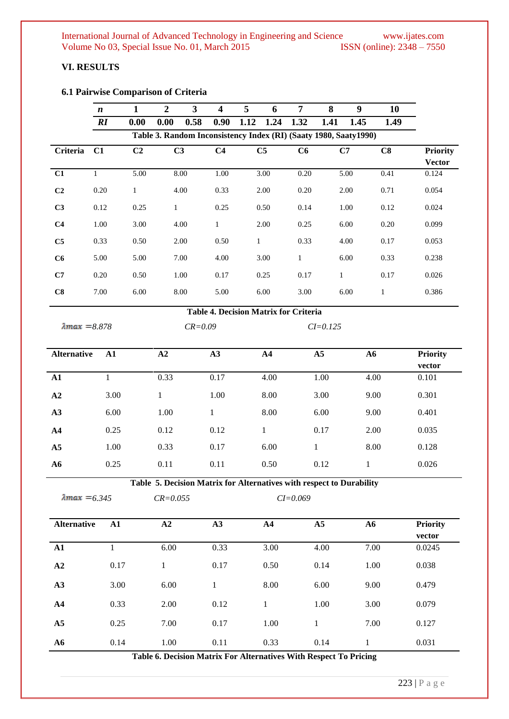# **VI. RESULTS**

# **6.1 Pairwise Comparison of Criteria**

|                                              | $\boldsymbol{n}$ | 1              | $\overline{2}$ | $\mathbf{3}$ | $\overline{\mathbf{4}}$ | 5            | 6              | 7                                                                 | 8            | 9    | 10           |                 |
|----------------------------------------------|------------------|----------------|----------------|--------------|-------------------------|--------------|----------------|-------------------------------------------------------------------|--------------|------|--------------|-----------------|
|                                              | RI               | 0.00           | 0.00           | 0.58         | 0.90                    | 1.12         | 1.24           | 1.32                                                              | 1.41         | 1.45 | 1.49         |                 |
|                                              |                  |                |                |              |                         |              |                | Table 3. Random Inconsistency Index (RI) (Saaty 1980, Saaty 1990) |              |      |              |                 |
| Criteria                                     | C1               | C <sub>2</sub> | C <sub>3</sub> |              | C <sub>4</sub>          |              | C <sub>5</sub> | C6                                                                |              | C7   | C8           | <b>Priority</b> |
|                                              |                  |                |                |              |                         |              |                |                                                                   |              |      |              | <b>Vector</b>   |
| C1                                           | $\mathbf{1}$     | 5.00           |                | 8.00         | 1.00                    |              | 3.00           | 0.20                                                              |              | 5.00 | 0.41         | 0.124           |
| C <sub>2</sub>                               | 0.20             | $\mathbf{1}$   |                | 4.00         | 0.33                    |              | 2.00           | 0.20                                                              |              | 2.00 | 0.71         | 0.054           |
| C <sub>3</sub>                               | 0.12             | 0.25           | $\mathbf{1}$   |              | 0.25                    |              | 0.50           | 0.14                                                              |              | 1.00 | 0.12         | 0.024           |
| C <sub>4</sub>                               | 1.00             | 3.00           |                | 4.00         | $\mathbf{1}$            |              | 2.00           | 0.25                                                              |              | 6.00 | 0.20         | 0.099           |
| C <sub>5</sub>                               | 0.33             | 0.50           |                | 2.00         | 0.50                    | $\mathbf{1}$ |                | 0.33                                                              |              | 4.00 | 0.17         | 0.053           |
| C6                                           | 5.00             | 5.00           |                | 7.00         | 4.00                    |              | 3.00           | $\mathbf{1}$                                                      |              | 6.00 | 0.33         | 0.238           |
| C7                                           | 0.20             | 0.50           |                | 1.00         | 0.17                    |              | 0.25           | 0.17                                                              | $\mathbf{1}$ |      | 0.17         | 0.026           |
| C8                                           | 7.00             | 6.00           |                | 8.00         | 5.00                    |              | 6.00           | 3.00                                                              |              | 6.00 | $\mathbf{1}$ | 0.386           |
| <b>Table 4. Decision Matrix for Criteria</b> |                  |                |                |              |                         |              |                |                                                                   |              |      |              |                 |
| $\lambda$ max = 8.878                        |                  |                |                | $CR = 0.09$  |                         |              |                |                                                                   | $CI = 0.125$ |      |              |                 |

| <b>Alternative</b> | ${\bf A1}$ | A2   | A3   | $\mathbf{A4}$ | A <sub>5</sub> | A6   | <b>Priority</b><br>vector |
|--------------------|------------|------|------|---------------|----------------|------|---------------------------|
| ${\bf A1}$         |            | 0.33 | 0.17 | 4.00          | 1.00           | 4.00 | 0.101                     |
| A2                 | 3.00       |      | 1.00 | 8.00          | 3.00           | 9.00 | 0.301                     |
| A3                 | 6.00       | 1.00 |      | 8.00          | 6.00           | 9.00 | 0.401                     |
| A <sub>4</sub>     | 0.25       | 0.12 | 0.12 |               | 0.17           | 2.00 | 0.035                     |
| A <sub>5</sub>     | 1.00       | 0.33 | 0.17 | 6.00          |                | 8.00 | 0.128                     |
| A6                 | 0.25       | 0.11 | 0.11 | 0.50          | 0.12           |      | 0.026                     |

**Table 5. Decision Matrix for Alternatives with respect to Durability**

| $CR = 0.055$ | $CI = 0.069$ |
|--------------|--------------|

| <b>Alternative</b> | ${\bf A1}$ | A2   | A3   | A <sub>4</sub> | A <sub>5</sub> | A6   | <b>Priority</b> |
|--------------------|------------|------|------|----------------|----------------|------|-----------------|
|                    |            |      |      |                |                |      | vector          |
| ${\bf A1}$         |            | 6.00 | 0.33 | 3.00           | 4.00           | 7.00 | 0.0245          |
| A2                 | 0.17       | 1    | 0.17 | 0.50           | 0.14           | 1.00 | 0.038           |
| A3                 | 3.00       | 6.00 | 1    | 8.00           | 6.00           | 9.00 | 0.479           |
| $\mathbf{A4}$      | 0.33       | 2.00 | 0.12 | 1              | 1.00           | 3.00 | 0.079           |
| A <sub>5</sub>     | 0.25       | 7.00 | 0.17 | 1.00           |                | 7.00 | 0.127           |
| A6                 | 0.14       | 1.00 | 0.11 | 0.33           | 0.14           |      | 0.031           |

**Table 6. Decision Matrix For Alternatives With Respect To Pricing**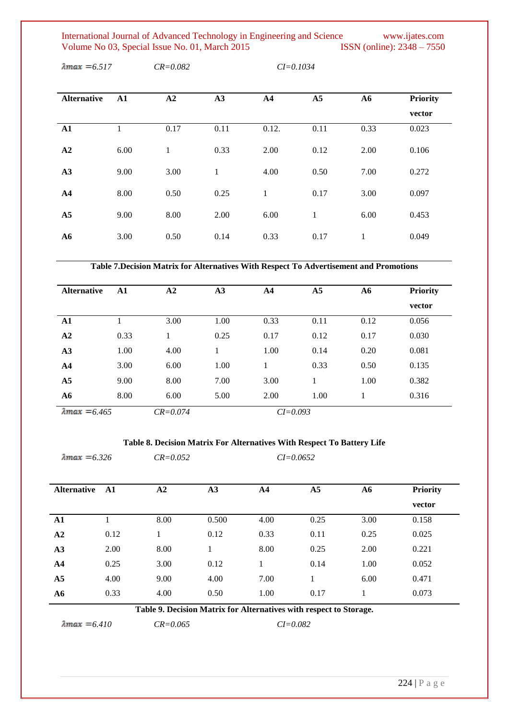International Journal of Advanced Technology in Engineering and Science www.ijates.com Volume No 03, Special Issue No. 01, March 2015 ISSN (online): 2348 – 7550 Volume No 03, Special Issue No. 01, March 2015

| <b>Alternative</b> | ${\bf A1}$ | A2   | A3   | A <sub>4</sub> | A5   | A6   | <b>Priority</b> |
|--------------------|------------|------|------|----------------|------|------|-----------------|
|                    |            |      |      |                |      |      | vector          |
| $\mathbf{A1}$      |            | 0.17 | 0.11 | 0.12.          | 0.11 | 0.33 | 0.023           |
| A2                 | 6.00       | 1    | 0.33 | 2.00           | 0.12 | 2.00 | 0.106           |
| A3                 | 9.00       | 3.00 | 1    | 4.00           | 0.50 | 7.00 | 0.272           |
| A <sub>4</sub>     | 8.00       | 0.50 | 0.25 | 1              | 0.17 | 3.00 | 0.097           |
| A <sub>5</sub>     | 9.00       | 8.00 | 2.00 | 6.00           | 1    | 6.00 | 0.453           |
| A6                 | 3.00       | 0.50 | 0.14 | 0.33           | 0.17 | 1    | 0.049           |

*6.517 CR=0.082 CI=0.1034*

**Table 7.Decision Matrix for Alternatives With Respect To Advertisement and Promotions**

| <b>Alternative</b>    | ${\bf A1}$ | A2           | A3   | A <sub>4</sub> | A <sub>5</sub> | A6   | <b>Priority</b> |
|-----------------------|------------|--------------|------|----------------|----------------|------|-----------------|
|                       |            |              |      |                |                |      | vector          |
| ${\bf A1}$            |            | 3.00         | 1.00 | 0.33           | 0.11           | 0.12 | 0.056           |
| A <sub>2</sub>        | 0.33       |              | 0.25 | 0.17           | 0.12           | 0.17 | 0.030           |
| A3                    | 1.00       | 4.00         |      | 1.00           | 0.14           | 0.20 | 0.081           |
| A <sub>4</sub>        | 3.00       | 6.00         | 1.00 | 1              | 0.33           | 0.50 | 0.135           |
| A <sub>5</sub>        | 9.00       | 8.00         | 7.00 | 3.00           |                | 1.00 | 0.382           |
| A6                    | 8.00       | 6.00         | 5.00 | 2.00           | 1.00           |      | 0.316           |
| $\lambda$ max = 6.465 |            | $CR = 0.074$ |      | $CI = 0.093$   |                |      |                 |

## **Table 8. Decision Matrix For Alternatives With Respect To Battery Life**

|      | e       |
|------|---------|
| лтах | $=6.32$ |

*6.326 CR=0.052 CI=0.0652*

| <b>Alternative</b> | - A1 | A2   | A3    | ${\bf A4}$ | A <sub>5</sub> | ${\bf A6}$ | <b>Priority</b> |
|--------------------|------|------|-------|------------|----------------|------------|-----------------|
|                    |      |      |       |            |                |            | vector          |
| ${\bf A1}$         |      | 8.00 | 0.500 | 4.00       | 0.25           | 3.00       | 0.158           |
| A2                 | 0.12 |      | 0.12  | 0.33       | 0.11           | 0.25       | 0.025           |
| A3                 | 2.00 | 8.00 |       | 8.00       | 0.25           | 2.00       | 0.221           |
| A <sub>4</sub>     | 0.25 | 3.00 | 0.12  | 1          | 0.14           | 1.00       | 0.052           |
| A <sub>5</sub>     | 4.00 | 9.00 | 4.00  | 7.00       |                | 6.00       | 0.471           |
| ${\bf A6}$         | 0.33 | 4.00 | 0.50  | 1.00       | 0.17           |            | 0.073           |

**Table 9. Decision Matrix for Alternatives with respect to Storage.**

*6.410 CR=0.065 CI=0.082*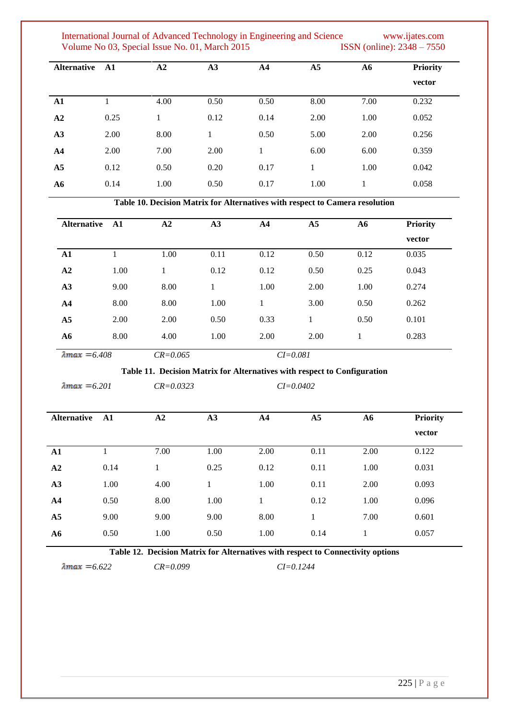International Journal of Advanced Technology in Engineering and Science www.ijates.com Volume No 03, Special Issue No. 01, March 2015 ISSN (online): 2348 – 7550 Volume No 03, Special Issue No. 01, March 2015

| <b>Alternative</b> | ${\bf A1}$ | A2   | A3   | A <sub>4</sub> | A <sub>5</sub> | ${\bf A6}$ | <b>Priority</b><br>vector |
|--------------------|------------|------|------|----------------|----------------|------------|---------------------------|
| ${\bf A1}$         |            | 4.00 | 0.50 | 0.50           | 8.00           | 7.00       | 0.232                     |
| A2                 | 0.25       |      | 0.12 | 0.14           | 2.00           | 1.00       | 0.052                     |
| A3                 | 2.00       | 8.00 |      | 0.50           | 5.00           | 2.00       | 0.256                     |
| $\mathbf{A}$ 4     | 2.00       | 7.00 | 2.00 | 1              | 6.00           | 6.00       | 0.359                     |
| A <sub>5</sub>     | 0.12       | 0.50 | 0.20 | 0.17           |                | 1.00       | 0.042                     |
| ${\bf A6}$         | 0.14       | 1.00 | 0.50 | 0.17           | 1.00           |            | 0.058                     |

**Table 10. Decision Matrix for Alternatives with respect to Camera resolution**

| <b>Alternative</b>    | A1   | A <sub>2</sub> | A3   | $\mathbf{A4}$ | A <sub>5</sub> | ${\bf A6}$ | <b>Priority</b> |
|-----------------------|------|----------------|------|---------------|----------------|------------|-----------------|
|                       |      |                |      |               |                |            | vector          |
| ${\bf A1}$            |      | 1.00           | 0.11 | 0.12          | 0.50           | 0.12       | 0.035           |
| A2                    | 1.00 | $\mathbf{1}$   | 0.12 | 0.12          | 0.50           | 0.25       | 0.043           |
| A3                    | 9.00 | 8.00           |      | 1.00          | 2.00           | 1.00       | 0.274           |
| $\mathbf{A4}$         | 8.00 | 8.00           | 1.00 | 1             | 3.00           | 0.50       | 0.262           |
| A <sub>5</sub>        | 2.00 | 2.00           | 0.50 | 0.33          | 1              | 0.50       | 0.101           |
| A6                    | 8.00 | 4.00           | 1.00 | 2.00          | 2.00           | 1          | 0.283           |
| $\lambda$ max = 6.408 |      | $CR = 0.065$   |      |               | $CI = 0.081$   |            |                 |

**Table 11. Decision Matrix for Alternatives with respect to Configuration**

*6.201 CR=0.0323 CI=0.0402*

| Œ |
|---|

| <b>Alternative</b> | $\mathbf{A1}$ | A2   | A3   | A <sub>4</sub> | A <sub>5</sub> | A6   | <b>Priority</b> |
|--------------------|---------------|------|------|----------------|----------------|------|-----------------|
|                    |               |      |      |                |                |      | vector          |
| $\mathbf{A1}$      |               | 7.00 | 1.00 | 2.00           | 0.11           | 2.00 | 0.122           |
| A2                 | 0.14          | 1    | 0.25 | 0.12           | 0.11           | 1.00 | 0.031           |
| A3                 | 1.00          | 4.00 |      | 1.00           | 0.11           | 2.00 | 0.093           |
| A <sub>4</sub>     | 0.50          | 8.00 | 1.00 | 1              | 0.12           | 1.00 | 0.096           |
| A <sub>5</sub>     | 9.00          | 9.00 | 9.00 | 8.00           | 1              | 7.00 | 0.601           |
| ${\bf A6}$         | 0.50          | 1.00 | 0.50 | 1.00           | 0.14           | 1    | 0.057           |
|                    |               |      |      |                |                |      |                 |

**Table 12. Decision Matrix for Alternatives with respect to Connectivity options**

*6.622 CR=0.099 CI=0.1244*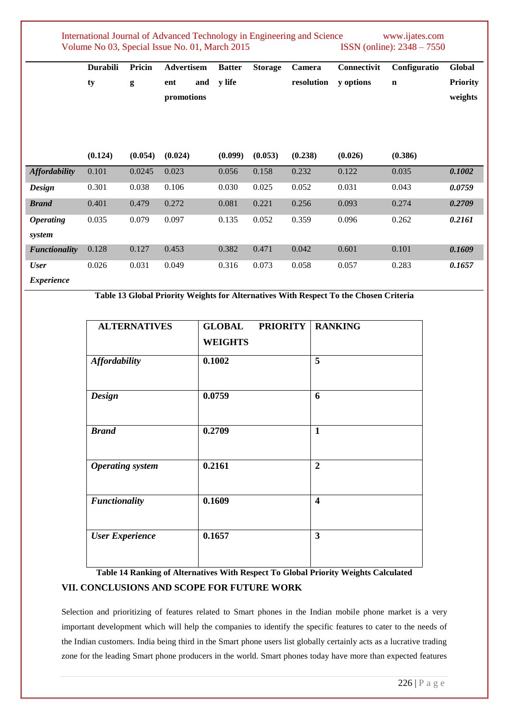|                                  | Durabili<br>ty | Pricin<br>g | Advertisem<br>and<br>ent<br>promotions | <b>Batter</b><br>y life | <b>Storage</b> | Camera<br>resolution | Connectivit<br>y options | Configuratio<br>$\mathbf n$ | Global<br><b>Priority</b><br>weights |
|----------------------------------|----------------|-------------|----------------------------------------|-------------------------|----------------|----------------------|--------------------------|-----------------------------|--------------------------------------|
|                                  |                |             |                                        |                         |                |                      |                          |                             |                                      |
|                                  | (0.124)        | (0.054)     | (0.024)                                | (0.099)                 | (0.053)        | (0.238)              | (0.026)                  | (0.386)                     |                                      |
| <b>Affordability</b>             | 0.101          | 0.0245      | 0.023                                  | 0.056                   | 0.158          | 0.232                | 0.122                    | 0.035                       | 0.1002                               |
| <b>Design</b>                    | 0.301          | 0.038       | 0.106                                  | 0.030                   | 0.025          | 0.052                | 0.031                    | 0.043                       | 0.0759                               |
| <b>Brand</b>                     | 0.401          | 0.479       | 0.272                                  | 0.081                   | 0.221          | 0.256                | 0.093                    | 0.274                       | 0.2709                               |
| <b>Operating</b><br>system       | 0.035          | 0.079       | 0.097                                  | 0.135                   | 0.052          | 0.359                | 0.096                    | 0.262                       | 0.2161                               |
| <b>Functionality</b>             | 0.128          | 0.127       | 0.453                                  | 0.382                   | 0.471          | 0.042                | 0.601                    | 0.101                       | 0.1609                               |
| <b>User</b><br><i>Evnorionce</i> | 0.026          | 0.031       | 0.049                                  | 0.316                   | 0.073          | 0.058                | 0.057                    | 0.283                       | 0.1657                               |

*Experience*

**Table 13 Global Priority Weights for Alternatives With Respect To the Chosen Criteria**

| <b>ALTERNATIVES</b>     | <b>GLOBAL</b><br><b>WEIGHTS</b> | <b>PRIORITY</b> | <b>RANKING</b>          |  |
|-------------------------|---------------------------------|-----------------|-------------------------|--|
| <b>Affordability</b>    | 0.1002                          |                 | 5                       |  |
| <b>Design</b>           | 0.0759                          |                 | 6                       |  |
| <b>Brand</b>            | 0.2709                          |                 | $\mathbf{1}$            |  |
| <b>Operating</b> system | 0.2161                          |                 | $\overline{2}$          |  |
| <b>Functionality</b>    | 0.1609                          |                 | $\overline{\mathbf{4}}$ |  |
| <b>User Experience</b>  | 0.1657                          |                 | $\overline{\mathbf{3}}$ |  |

# **Table 14 Ranking of Alternatives With Respect To Global Priority Weights Calculated VII. CONCLUSIONS AND SCOPE FOR FUTURE WORK**

Selection and prioritizing of features related to Smart phones in the Indian mobile phone market is a very important development which will help the companies to identify the specific features to cater to the needs of the Indian customers. India being third in the Smart phone users list globally certainly acts as a lucrative trading zone for the leading Smart phone producers in the world. Smart phones today have more than expected features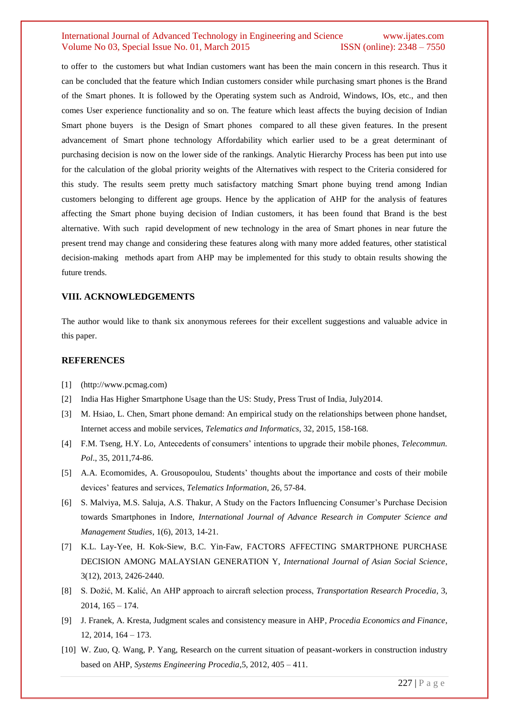to offer to the customers but what Indian customers want has been the main concern in this research. Thus it can be concluded that the feature which Indian customers consider while purchasing smart phones is the Brand of the Smart phones. It is followed by the Operating system such as Android, Windows, IOs, etc., and then comes User experience functionality and so on. The feature which least affects the buying decision of Indian Smart phone buyers is the Design of Smart phones compared to all these given features. In the present advancement of Smart phone technology Affordability which earlier used to be a great determinant of purchasing decision is now on the lower side of the rankings. Analytic Hierarchy Process has been put into use for the calculation of the global priority weights of the Alternatives with respect to the Criteria considered for this study. The results seem pretty much satisfactory matching Smart phone buying trend among Indian customers belonging to different age groups. Hence by the application of AHP for the analysis of features affecting the Smart phone buying decision of Indian customers, it has been found that Brand is the best alternative. With such rapid development of new technology in the area of Smart phones in near future the present trend may change and considering these features along with many more added features, other statistical decision-making methods apart from AHP may be implemented for this study to obtain results showing the future trends.

#### **VIII. ACKNOWLEDGEMENTS**

The author would like to thank six anonymous referees for their excellent suggestions and valuable advice in this paper.

#### **REFERENCES**

- [1] (http://www.pcmag.com)
- [2] India Has Higher Smartphone Usage than the US: Study, Press Trust of India, July2014.
- [3] M. Hsiao, L. Chen, Smart phone demand: An empirical study on the relationships between phone handset, Internet access and mobile services, *Telematics and Informatics*, 32, 2015, 158-168.
- [4] F.M. Tseng, H.Y. Lo, Antecedents of consumers' intentions to upgrade their mobile phones, *Telecommun. Pol*., 35, 2011,74-86.
- [5] A.A. Ecomomides, A. Grousopoulou, Students' thoughts about the importance and costs of their mobile devices' features and services, *Telematics Information*, 26, 57-84.
- [6] S. Malviya, M.S. Saluja, A.S. Thakur, A Study on the Factors Influencing Consumer's Purchase Decision towards Smartphones in Indore, *International Journal of Advance Research in Computer Science and Management Studies*, 1(6), 2013, 14-21.
- [7] K.L. Lay-Yee, H. Kok-Siew, B.C. Yin-Faw, FACTORS AFFECTING SMARTPHONE PURCHASE DECISION AMONG MALAYSIAN GENERATION Y, *International Journal of Asian Social Science*, 3(12), 2013, 2426-2440.
- [8] S. Dožić, M. Kalić, An AHP approach to aircraft selection process, *Transportation Research Procedia*, 3, 2014, 165 – 174.
- [9] J. Franek, A. Kresta, Judgment scales and consistency measure in AHP*, Procedia Economics and Finance*, 12, 2014, 164 – 173.
- [10] W. Zuo, Q. Wang, P. Yang, Research on the current situation of peasant-workers in construction industry based on AHP, *Systems Engineering Procedia*,5, 2012, 405 – 411.